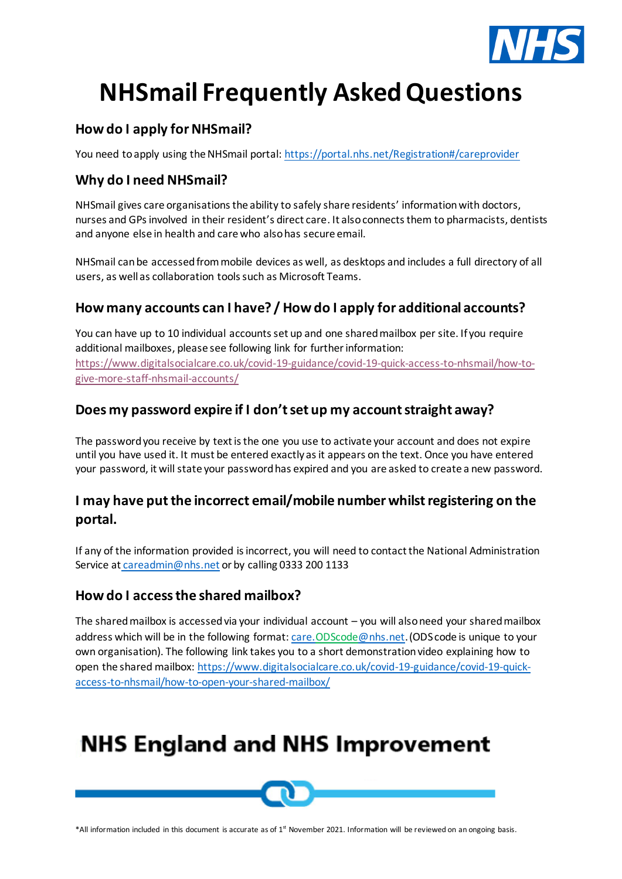

# **NHSmail Frequently Asked Questions**

#### **How do I apply for NHSmail?**

You need toapply using the NHSmail portal[: https://portal.nhs.net/Registration#/careprovider](https://portal.nhs.net/Registration#/careprovider)

#### **Why do I need NHSmail?**

NHSmail gives care organisations the ability to safely share residents' informationwith doctors, nurses and GPs involved in their resident's direct care. It also connects them to pharmacists, dentists and anyone else in health and care who also has secure email.

NHSmail can be accessed from mobile devices as well, as desktops and includes a full directory of all users, as well as collaboration tools such as Microsoft Teams.

#### **How many accounts can I have? / How do I apply for additional accounts?**

You can have up to 10 individual accounts set up and one shared mailbox per site. If you require additional mailboxes, please see following link for further information: [https://www.digitalsocialcare.co.uk/covid-19-guidance/covid-19-quick-access-to-nhsmail/how-to](https://www.digitalsocialcare.co.uk/covid-19-guidance/covid-19-quick-access-to-nhsmail/how-to-give-more-staff-nhsmail-accounts/)[give-more-staff-nhsmail-accounts/](https://www.digitalsocialcare.co.uk/covid-19-guidance/covid-19-quick-access-to-nhsmail/how-to-give-more-staff-nhsmail-accounts/)

#### **Does my password expire if I don't set up my account straight away?**

The password you receive by text is the one you use to activate your account and does not expire until you have used it. It must be entered exactly as it appears on the text. Once you have entered your password, it will state your password has expired and you are asked to create a new password.

### **I may have putthe incorrect email/mobile number whilst registering on the portal.**

If any of the information provided is incorrect, you will need to contact the National Administration Service at [careadmin@nhs.net](mailto:careadmin@nhs.net) or by calling 0333 200 1133

#### **How do I access the shared mailbox?**

The shared mailbox is accessed via your individual account – you will also need your shared mailbox address which will be in the following format[: care.ODScode@nhs.net](mailto:care.ODScode@nhs.net).(ODS code is unique to your own organisation). The following link takes you to a short demonstration video explaining how to open the shared mailbox[: https://www.digitalsocialcare.co.uk/covid-19-guidance/covid-19-quick](https://www.digitalsocialcare.co.uk/covid-19-guidance/covid-19-quick-access-to-nhsmail/how-to-open-your-shared-mailbox/)[access-to-nhsmail/how-to-open-your-shared-mailbox/](https://www.digitalsocialcare.co.uk/covid-19-guidance/covid-19-quick-access-to-nhsmail/how-to-open-your-shared-mailbox/)

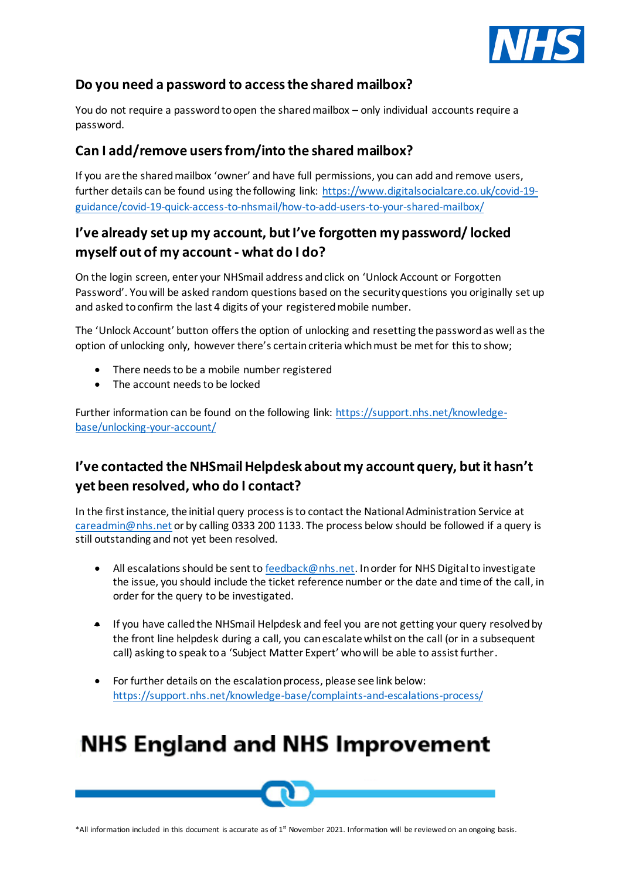

#### **Do you need a password to access the shared mailbox?**

You do not require a password to open the shared mailbox – only individual accounts require a password.

#### **Can I add/remove users from/into the shared mailbox?**

If you are the shared mailbox 'owner' and have full permissions, you can add and remove users, further details can be found using the following link: [https://www.digitalsocialcare.co.uk/covid-19](https://www.digitalsocialcare.co.uk/covid-19-guidance/covid-19-quick-access-to-nhsmail/how-to-add-users-to-your-shared-mailbox/) [guidance/covid-19-quick-access-to-nhsmail/how-to-add-users-to-your-shared-mailbox/](https://www.digitalsocialcare.co.uk/covid-19-guidance/covid-19-quick-access-to-nhsmail/how-to-add-users-to-your-shared-mailbox/)

### **I've already set up my account, but I've forgotten my password/ locked myself out of my account - what do I do?**

On the login screen, enter your NHSmail address and click on 'Unlock Account or Forgotten Password'. You will be asked random questions based on the security questions you originally set up and asked to confirm the last 4 digits of your registered mobile number.

The 'Unlock Account' button offers the option of unlocking and resetting the password as well as the option of unlocking only, however there's certain criteria which must be met for this to show;

- There needs to be a mobile number registered
- The account needs to be locked

Further information can be found on the following link: [https://support.nhs.net/knowledge](https://support.nhs.net/knowledge-base/unlocking-your-account/)[base/unlocking-your-account/](https://support.nhs.net/knowledge-base/unlocking-your-account/)

### **I've contacted the NHSmail Helpdesk about my account query, but it hasn't yet been resolved, who do I contact?**

In the first instance, the initial query process is to contact the National Administration Service at [careadmin@nhs.net](mailto:careadmin@nhs.net) or by calling 0333 200 1133. The process below should be followed if a query is still outstanding and not yet been resolved.

- All escalations should be sent to [feedback@nhs.net.](mailto:feedback@nhs.net) In order for NHS Digital to investigate the issue, you should include the ticket reference number or the date and time of the call, in order for the query to be investigated.
- If you have called the NHSmail Helpdesk and feel you are not getting your query resolved by the front line helpdesk during a call, you can escalate whilst on the call (or in a subsequent call) asking to speak to a 'Subject Matter Expert' who will be able to assist further.
- For further details on the escalation process, please see link below: <https://support.nhs.net/knowledge-base/complaints-and-escalations-process/>

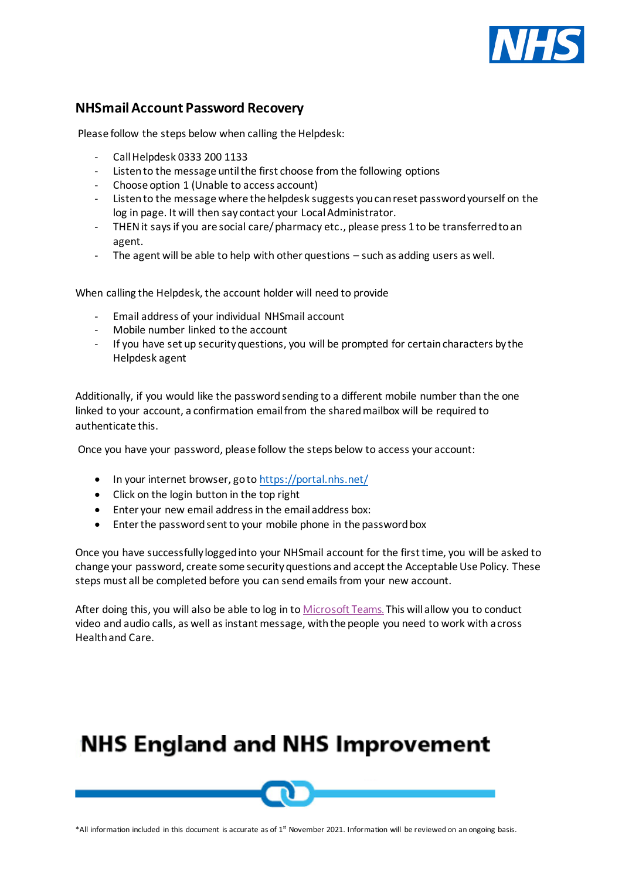

#### **NHSmail Account Password Recovery**

Please follow the steps below when calling the Helpdesk:

- Call Helpdesk 0333 200 1133
- Listen to the message until the first choose from the following options
- Choose option 1 (Unable to access account)
- Listen to the message where the helpdesk suggests you can reset password yourself on the log in page. It will then say contact your Local Administrator.
- THEN it says if you are social care/ pharmacy etc., please press 1 to be transferred to an agent.
- The agent will be able to help with other questions  $-$  such as adding users as well.

When calling the Helpdesk, the account holder will need to provide

- Email address of your individual NHSmail account
- Mobile number linked to the account
- If you have set up security questions, you will be prompted for certain characters by the Helpdesk agent

Additionally, if you would like the password sending to a different mobile number than the one linked to your account, a confirmation email from the shared mailbox will be required to authenticate this.

Once you have your password, please follow the steps below to access your account:

- In your internet browser, go to <https://portal.nhs.net/>
- Click on the login button in the top right
- Enter your new email address in the email address box:
- Enter the password sent to your mobile phone in the password box

Once you have successfully logged into your NHSmail account for the first time, you will be asked to change your password, create some security questions and accept the Acceptable Use Policy. These steps must all be completed before you can send emails from your new account.

After doing this, you will also be able to log in to **[Microsoft Teams](https://www.digitalsocialcare.co.uk/covid-19-guidance/covid-19-microsoft-teams/)**. This will allow you to conduct video and audio calls, as well as instant message, with the people you need to work with across Health and Care.

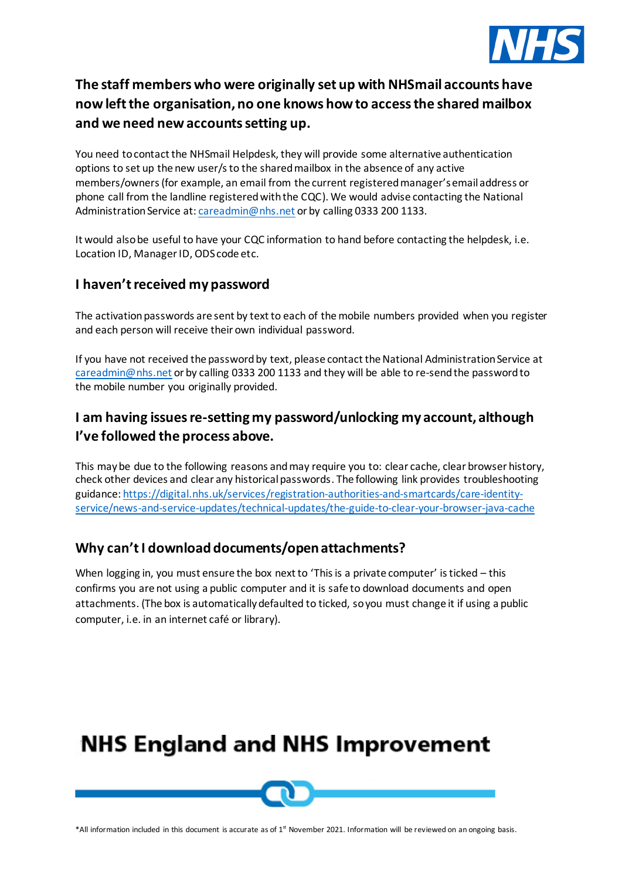

### **The staff members who were originally set up with NHSmail accounts have now left the organisation, no one knows how to access the shared mailbox and we need new accounts setting up.**

You need to contact the NHSmail Helpdesk, they will provide some alternative authentication options to set up the new user/s to the shared mailbox in the absence of any active members/owners (for example, an email from the current registered manager's email address or phone call from the landline registered with the CQC). We would advise contacting the National Administration Service at[: careadmin@nhs.net](mailto:careadmin@nhs.net) or by calling 0333 200 1133.

It would also be useful to have your CQC information to hand before contacting the helpdesk, i.e. Location ID, Manager ID, ODS code etc.

#### **I haven't received my password**

The activation passwords are sent by text to each of the mobile numbers provided when you register and each person will receive their own individual password.

If you have not received the password by text, please contact the National Administration Service at [careadmin@nhs.net](mailto:careadmin@nhs.net) or by calling 0333 200 1133 and they will be able to re-send the password to the mobile number you originally provided.

#### **I am having issues re-setting my password/unlocking my account, although I've followed the process above.**

This may be due to the following reasons and may require you to: clear cache, clear browser history, check other devices and clear any historical passwords. The following link provides troubleshooting guidance: [https://digital.nhs.uk/services/registration-authorities-and-smartcards/care-identity](https://digital.nhs.uk/services/registration-authorities-and-smartcards/care-identity-service/news-and-service-updates/technical-updates/the-guide-to-clear-your-browser-java-cache)[service/news-and-service-updates/technical-updates/the-guide-to-clear-your-browser-java-cache](https://digital.nhs.uk/services/registration-authorities-and-smartcards/care-identity-service/news-and-service-updates/technical-updates/the-guide-to-clear-your-browser-java-cache)

#### **Why can't I download documents/open attachments?**

When logging in, you must ensure the box next to 'This is a private computer' is ticked – this confirms you are not using a public computer and it is safe to download documents and open attachments. (The box is automatically defaulted to ticked, so you must change it if using a public computer, i.e. in an internet café or library).

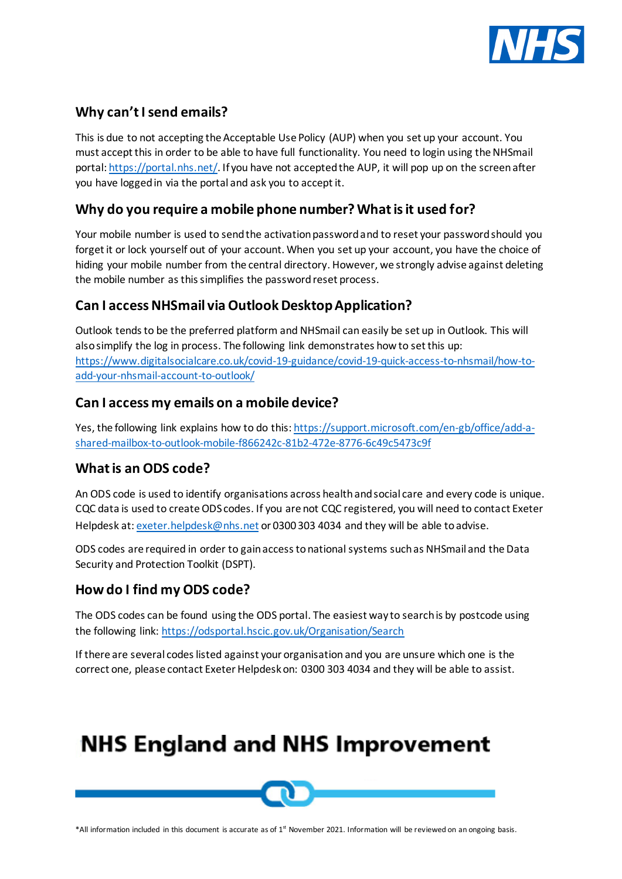

#### **Why can't Isend emails?**

This is due to not accepting the Acceptable Use Policy (AUP) when you set up your account. You must accept this in order to be able to have full functionality. You need to login using the NHSmail portal[: https://portal.nhs.net/.](https://portal.nhs.net/) If you have not accepted the AUP, it will pop up on the screen after you have logged in via the portal and ask you to accept it.

#### **Why do you require a mobile phone number? What is it used for?**

Your mobile number is used to send the activation password and to reset your password should you forget it or lock yourself out of your account. When you set up your account, you have the choice of hiding your mobile number from the central directory. However, we strongly advise against deleting the mobile number as this simplifies the password reset process.

#### **Can I access NHSmail via Outlook Desktop Application?**

Outlook tends to be the preferred platform and NHSmail can easily be set up in Outlook. This will also simplify the log in process. The following link demonstrates how to set this up: [https://www.digitalsocialcare.co.uk/covid-19-guidance/covid-19-quick-access-to-nhsmail/how-to](https://www.digitalsocialcare.co.uk/covid-19-guidance/covid-19-quick-access-to-nhsmail/how-to-add-your-nhsmail-account-to-outlook/)[add-your-nhsmail-account-to-outlook/](https://www.digitalsocialcare.co.uk/covid-19-guidance/covid-19-quick-access-to-nhsmail/how-to-add-your-nhsmail-account-to-outlook/)

#### **Can I access my emails on a mobile device?**

Yes, the following link explains how to do this[: https://support.microsoft.com/en-gb/office/add-a](https://support.microsoft.com/en-gb/office/add-a-shared-mailbox-to-outlook-mobile-f866242c-81b2-472e-8776-6c49c5473c9f)[shared-mailbox-to-outlook-mobile-f866242c-81b2-472e-8776-6c49c5473c9f](https://support.microsoft.com/en-gb/office/add-a-shared-mailbox-to-outlook-mobile-f866242c-81b2-472e-8776-6c49c5473c9f)

#### **What is an ODS code?**

An ODS code is used to identify organisations across health and social care and every code is unique. CQC data is used to create ODS codes. If you are not CQC registered, you will need to contact Exeter Helpdesk at: [exeter.helpdesk@nhs.net](mailto:exeter.helpdesk@nhs.net) or 0300 303 4034 and they will be able to advise.

ODS codes are required in order to gain access to national systems such as [NHSmail](https://www.digitalsocialcare.co.uk/sharing-care-records-via-email/how-to-get-secure-email/nhsmail/) and th[eData](https://www.digitalsocialcare.co.uk/protecting-my-information/data-security-and-protection-toolkit/)  [Security and Protection Toolkit](https://www.digitalsocialcare.co.uk/protecting-my-information/data-security-and-protection-toolkit/) (DSPT).

#### **How do I find my ODS code?**

The ODS codes can be found using the ODS portal. The easiest way to search is by postcode using the following link: <https://odsportal.hscic.gov.uk/Organisation/Search>

If there are several codes listed against your organisation and you are unsure which one is the correct one, please contact Exeter Helpdesk on: 0300 303 4034 and they will be able to assist.